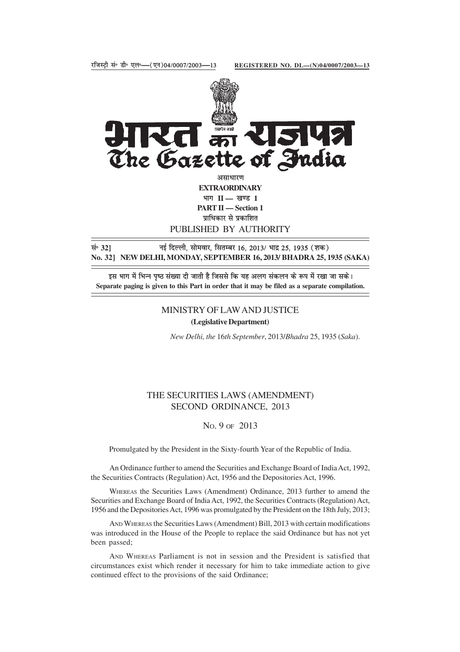

**EXTRAORDINARY** भाग II — खण्ड 1 **PART II — Section 1** प्राधिकार से प्रकाशित PUBLISHED BY AUTHORITY

lañ **32]** ubZ fnYyh] lkseokj] flrEcj 16] 2013@ Hkknz 25] 1935 ¼'kd½ **No. 32] NEW DELHI, MONDAY, SEPTEMBER 16, 2013/ BHADRA 25, 1935 (SAKA)**

इस भाग में भिन्न पष्ठ संख्या दी जाती है जिससे कि यह अलग संकलन के रूप में रखा जा सके। **Separate paging is given to this Part in order that it may be filed as a separate compilation.**

### MINISTRY OF LAW AND JUSTICE

**(Legislative Department)**

*New Delhi, the* 16*th September*, 2013/*Bhadra* 25, 1935 (*Saka*).

# THE SECURITIES LAWS (AMENDMENT) SECOND ORDINANCE, 2013

## NO. 9 OF 2013

Promulgated by the President in the Sixty-fourth Year of the Republic of India.

An Ordinance further to amend the Securities and Exchange Board of India Act, 1992, the Securities Contracts (Regulation) Act, 1956 and the Depositories Act, 1996.

WHEREAS the Securities Laws (Amendment) Ordinance, 2013 further to amend the Securities and Exchange Board of India Act, 1992, the Securities Contracts (Regulation) Act, 1956 and the Depositories Act, 1996 was promulgated by the President on the 18th July, 2013;

AND WHEREAS the Securities Laws (Amendment) Bill, 2013 with certain modifications was introduced in the House of the People to replace the said Ordinance but has not yet been passed;

AND WHEREAS Parliament is not in session and the President is satisfied that circumstances exist which render it necessary for him to take immediate action to give continued effect to the provisions of the said Ordinance;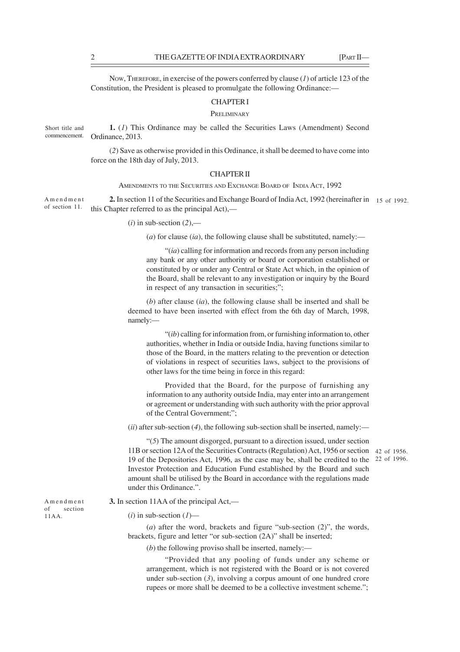NOW, THEREFORE, in exercise of the powers conferred by clause (*1*) of article 123 of the Constitution, the President is pleased to promulgate the following Ordinance:—

#### CHAPTER I

### **PRELIMINARY**

**1.** (*1*) This Ordinance may be called the Securities Laws (Amendment) Second Ordinance, 2013. Short title and commencement.

> (*2*) Save as otherwise provided in this Ordinance, it shall be deemed to have come into force on the 18th day of July, 2013.

#### CHAPTER II

AMENDMENTS TO THE SECURITIES AND EXCHANGE BOARD OF INDIA ACT, 1992

**2.** In section 11 of the Securities and Exchange Board of India Act, 1992 (hereinafter in 15 of 1992. this Chapter referred to as the principal Act),— Amendment of section 11.

 $(i)$  in sub-section  $(2)$ ,—

(*a*) for clause (*ia*), the following clause shall be substituted, namely:—

"(*ia*) calling for information and records from any person including any bank or any other authority or board or corporation established or constituted by or under any Central or State Act which, in the opinion of the Board, shall be relevant to any investigation or inquiry by the Board in respect of any transaction in securities;";

(*b*) after clause (*ia*), the following clause shall be inserted and shall be deemed to have been inserted with effect from the 6th day of March, 1998, namely:—

"(*ib*) calling for information from, or furnishing information to, other authorities, whether in India or outside India, having functions similar to those of the Board, in the matters relating to the prevention or detection of violations in respect of securities laws, subject to the provisions of other laws for the time being in force in this regard:

Provided that the Board, for the purpose of furnishing any information to any authority outside India, may enter into an arrangement or agreement or understanding with such authority with the prior approval of the Central Government;";

(*ii*) after sub-section (*4*), the following sub-section shall be inserted, namely:—

"(*5*) The amount disgorged, pursuant to a direction issued, under section 11B or section 12A of the Securities Contracts (Regulation) Act, 1956 or section 42 of 1956. 19 of the Depositories Act, 1996, as the case may be, shall be credited to the 22 of 1996. Investor Protection and Education Fund established by the Board and such amount shall be utilised by the Board in accordance with the regulations made under this Ordinance.".

Amendment of section 11AA.

|  |  | 3. In section 11AA of the principal Act,- |  |  |  |  |  |
|--|--|-------------------------------------------|--|--|--|--|--|
|--|--|-------------------------------------------|--|--|--|--|--|

 $(i)$  in sub-section  $(I)$ —

(*a*) after the word, brackets and figure "sub-section (2)", the words, brackets, figure and letter "or sub-section (2A)" shall be inserted;

(*b*) the following proviso shall be inserted, namely:—

"Provided that any pooling of funds under any scheme or arrangement, which is not registered with the Board or is not covered under sub-section (*3*), involving a corpus amount of one hundred crore rupees or more shall be deemed to be a collective investment scheme.";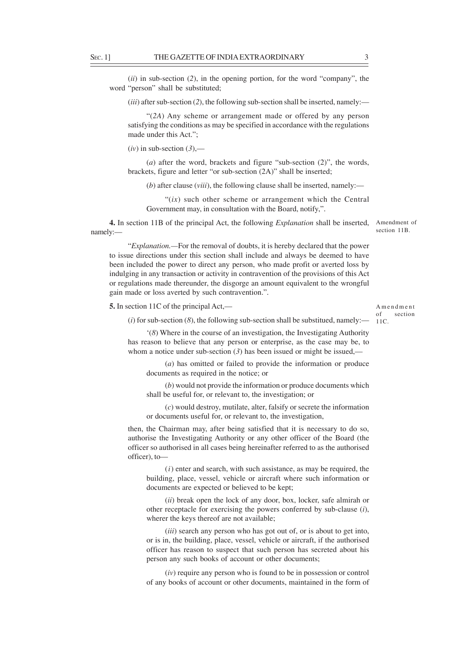(*ii*) in sub-section (*2*), in the opening portion, for the word "company", the word "person" shall be substituted;

(*iii*) after sub-section (*2*), the following sub-section shall be inserted, namely:—

"(*2A*) Any scheme or arrangement made or offered by any person satisfying the conditions as may be specified in accordance with the regulations made under this Act.";

 $(iv)$  in sub-section  $(3)$ ,—

(*a*) after the word, brackets and figure "sub-section (2)", the words, brackets, figure and letter "or sub-section (2A)" shall be inserted;

(*b*) after clause (*viii*), the following clause shall be inserted, namely:—

" $(ix)$  such other scheme or arrangement which the Central Government may, in consultation with the Board, notify,".

**4.** In section 11B of the principal Act, the following *Explanation* shall be inserted, Amendment of namely: section 11B.

"*Explanation.—*For the removal of doubts, it is hereby declared that the power to issue directions under this section shall include and always be deemed to have been included the power to direct any person, who made profit or averted loss by indulging in any transaction or activity in contravention of the provisions of this Act or regulations made thereunder, the disgorge an amount equivalent to the wrongful gain made or loss averted by such contravention.".

**5.** In section 11C of the principal Act,—

Amendment of section 11C.

 $(i)$  for sub-section  $(8)$ , the following sub-section shall be substitued, namely:—

'(*8*) Where in the course of an investigation, the Investigating Authority has reason to believe that any person or enterprise, as the case may be, to whom a notice under sub-section  $(3)$  has been issued or might be issued,—

(*a*) has omitted or failed to provide the information or produce documents as required in the notice; or

(*b*) would not provide the information or produce documents which shall be useful for, or relevant to, the investigation; or

(*c*) would destroy, mutilate, alter, falsify or secrete the information or documents useful for, or relevant to, the investigation,

then, the Chairman may, after being satisfied that it is necessary to do so, authorise the Investigating Authority or any other officer of the Board (the officer so authorised in all cases being hereinafter referred to as the authorised officer), to—

(*i*) enter and search, with such assistance, as may be required, the building, place, vessel, vehicle or aircraft where such information or documents are expected or believed to be kept;

(*ii*) break open the lock of any door, box, locker, safe almirah or other receptacle for exercising the powers conferred by sub-clause (*i*), wherer the keys thereof are not available;

(*iii*) search any person who has got out of, or is about to get into, or is in, the building, place, vessel, vehicle or aircraft, if the authorised officer has reason to suspect that such person has secreted about his person any such books of account or other documents;

(*iv*) require any person who is found to be in possession or control of any books of account or other documents, maintained in the form of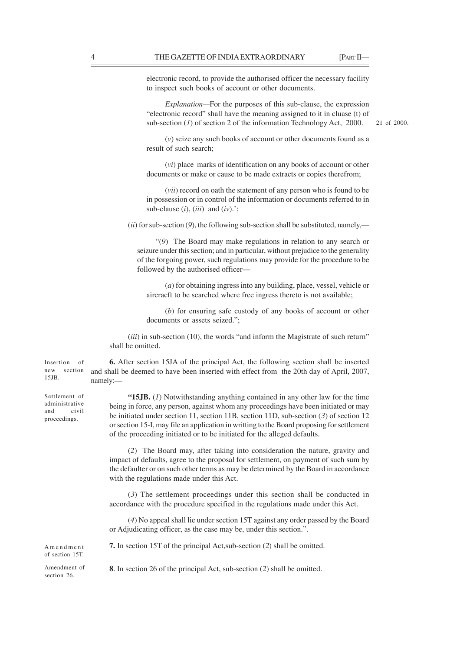electronic record, to provide the authorised officer the necessary facility to inspect such books of account or other documents.

*Explanation—*For the purposes of this sub-clause, the expression "electronic record" shall have the meaning assigned to it in cluase (t) of sub-section (*1*) of section 2 of the information Technology Act, 2000.

21 of 2000.

(*v*) seize any such books of account or other documents found as a result of such search;

(*vi*) place marks of identification on any books of account or other documents or make or cause to be made extracts or copies therefrom;

(*vii*) record on oath the statement of any person who is found to be in possession or in control of the information or documents referred to in sub-clause  $(i)$ ,  $(iii)$  and  $(iv)$ .';

 $(iii)$  for sub-section  $(9)$ , the following sub-section shall be substituted, namely,—

"(*9*) The Board may make regulations in relation to any search or seizure under this section; and in particular, without prejudice to the generality of the forgoing power, such regulations may provide for the procedure to be followed by the authorised officer—

(*a*) for obtaining ingress into any building, place, vessel, vehicle or aircracft to be searched where free ingress thereto is not available;

(*b*) for ensuring safe custody of any books of account or other documents or assets seized.";

(*iii*) in sub-section (10), the words "and inform the Magistrate of such return" shall be omitted.

Insertion of new section 15JB.

Settlement of administrative and civil proceedings.

**6.** After section 15JA of the principal Act, the following section shall be inserted and shall be deemed to have been inserted with effect from the 20th day of April, 2007, namely:—

**"15JB.** (*1*) Notwithstanding anything contained in any other law for the time being in force, any person, against whom any proceedings have been initiated or may be initiated under section 11, section 11B, section 11D, sub-section (*3*) of section 12 or section 15-I, may file an application in writting to the Board proposing for settlement of the proceeding initiated or to be initiated for the alleged defaults.

(*2*) The Board may, after taking into consideration the nature, gravity and impact of defaults, agree to the proposal for settlement, on payment of such sum by the defaulter or on such other terms as may be determined by the Board in accordance with the regulations made under this Act.

(*3*) The settlement proceedings under this section shall be conducted in accordance with the procedure specified in the regulations made under this Act.

(*4*) No appeal shall lie under section 15T against any order passed by the Board or Adjudicating officer, as the case may be, under this section.".

Amendment of section 15T.

Amendment of section 26.

**8**. In section 26 of the principal Act, sub-section (*2*) shall be omitted.

**7.** In section 15T of the principal Act,sub-section (*2*) shall be omitted.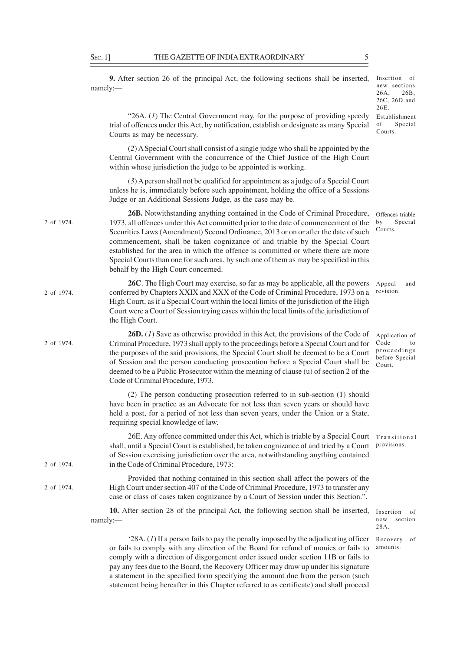namely:—

|            |                                                                                                                                                                                                                                                                                                                                                                                                                                                                                                                                                                | $26C$ , $26D$ and<br>26E.                                               |
|------------|----------------------------------------------------------------------------------------------------------------------------------------------------------------------------------------------------------------------------------------------------------------------------------------------------------------------------------------------------------------------------------------------------------------------------------------------------------------------------------------------------------------------------------------------------------------|-------------------------------------------------------------------------|
|            | "26A. $(I)$ The Central Government may, for the purpose of providing speedy<br>trial of offences under this Act, by notification, establish or designate as many Special<br>Courts as may be necessary.                                                                                                                                                                                                                                                                                                                                                        | Establishment<br>Special<br>of<br>Courts.                               |
|            | (2) A Special Court shall consist of a single judge who shall be appointed by the<br>Central Government with the concurrence of the Chief Justice of the High Court<br>within whose jurisdiction the judge to be appointed is working.                                                                                                                                                                                                                                                                                                                         |                                                                         |
|            | $(3)$ A person shall not be qualified for appointment as a judge of a Special Court<br>unless he is, immediately before such appointment, holding the office of a Sessions<br>Judge or an Additional Sessions Judge, as the case may be.                                                                                                                                                                                                                                                                                                                       |                                                                         |
| 2 of 1974. | 26B. Notwithstanding anything contained in the Code of Criminal Procedure,<br>1973, all offences under this Act committed prior to the date of commencement of the<br>Securities Laws (Amendment) Second Ordinance, 2013 or on or after the date of such<br>commencement, shall be taken cognizance of and triable by the Special Court<br>established for the area in which the offence is committed or where there are more<br>Special Courts than one for such area, by such one of them as may be specified in this<br>behalf by the High Court concerned. | Offences triable<br>Special<br>by<br>Courts.                            |
| 2 of 1974. | 26C. The High Court may exercise, so far as may be applicable, all the powers<br>conferred by Chapters XXIX and XXX of the Code of Criminal Procedure, 1973 on a<br>High Court, as if a Special Court within the local limits of the jurisdiction of the High<br>Court were a Court of Session trying cases within the local limits of the jurisdiction of<br>the High Court.                                                                                                                                                                                  | Appeal<br>and<br>revision.                                              |
| 2 of 1974. | <b>26D.</b> (1) Save as otherwise provided in this Act, the provisions of the Code of<br>Criminal Procedure, 1973 shall apply to the proceedings before a Special Court and for<br>the purposes of the said provisions, the Special Court shall be deemed to be a Court<br>of Session and the person conducting prosecution before a Special Court shall be<br>deemed to be a Public Prosecutor within the meaning of clause (u) of section 2 of the<br>Code of Criminal Procedure, 1973.                                                                      | Application of<br>Code<br>to<br>proceedings<br>before Special<br>Court. |
|            | (2) The person conducting prosecution referred to in sub-section (1) should<br>have been in practice as an Advocate for not less than seven years or should have<br>held a post, for a period of not less than seven years, under the Union or a State,<br>requiring special knowledge of law.                                                                                                                                                                                                                                                                 |                                                                         |
| 2 of 1974. | 26E. Any offence committed under this Act, which is triable by a Special Court<br>shall, until a Special Court is established, be taken cognizance of and tried by a Court<br>of Session exercising jurisdiction over the area, notwithstanding anything contained<br>in the Code of Criminal Procedure, 1973:                                                                                                                                                                                                                                                 | Transitional<br>provisions.                                             |
| 2 of 1974. | Provided that nothing contained in this section shall affect the powers of the<br>High Court under section 407 of the Code of Criminal Procedure, 1973 to transfer any<br>case or class of cases taken cognizance by a Court of Session under this Section.".                                                                                                                                                                                                                                                                                                  |                                                                         |
|            | 10. After section 28 of the principal Act, the following section shall be inserted,<br>namely:                                                                                                                                                                                                                                                                                                                                                                                                                                                                 | Insertion<br>of<br>section<br>new<br>28A.                               |
|            | $28A$ . (1) If a person fails to pay the penalty imposed by the adjudicating officer<br>or fails to comply with any direction of the Board for refund of monies or fails to                                                                                                                                                                                                                                                                                                                                                                                    | Recovery<br>- of<br>amounts.                                            |

or fails to comply with any direction of the Board for refund of monies or fails to comply with a direction of disgorgement order issued under section 11B or fails to pay any fees due to the Board, the Recovery Officer may draw up under his signature a statement in the specified form specifying the amount due from the person (such statement being hereafter in this Chapter referred to as certificate) and shall proceed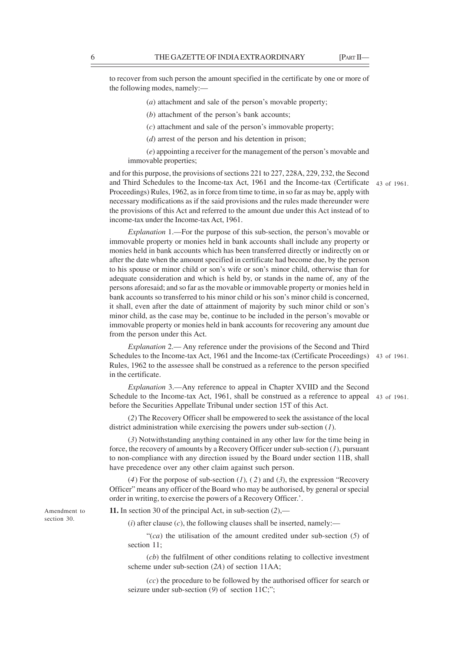to recover from such person the amount specified in the certificate by one or more of the following modes, namely:—

(*a*) attachment and sale of the person's movable property;

(*c*) attachment and sale of the person's immovable property;

(*d*) arrest of the person and his detention in prison;

(*e*) appointing a receiver for the management of the person's movable and immovable properties;

and for this purpose, the provisions of sections 221 to 227, 228A, 229, 232, the Second and Third Schedules to the Income-tax Act, 1961 and the Income-tax (Certificate 43 of 1961. Proceedings) Rules, 1962, as in force from time to time, in so far as may be, apply with necessary modifications as if the said provisions and the rules made thereunder were the provisions of this Act and referred to the amount due under this Act instead of to income-tax under the Income-tax Act, 1961.

*Explanation* 1.—For the purpose of this sub-section, the person's movable or immovable property or monies held in bank accounts shall include any property or monies held in bank accounts which has been transferred directly or indirectly on or after the date when the amount specified in certificate had become due, by the person to his spouse or minor child or son's wife or son's minor child, otherwise than for adequate consideration and which is held by, or stands in the name of, any of the persons aforesaid; and so far as the movable or immovable property or monies held in bank accounts so transferred to his minor child or his son's minor child is concerned, it shall, even after the date of attainment of majority by such minor child or son's minor child, as the case may be, continue to be included in the person's movable or immovable property or monies held in bank accounts for recovering any amount due from the person under this Act.

*Explanation* 2.— Any reference under the provisions of the Second and Third Schedules to the Income-tax Act, 1961 and the Income-tax (Certificate Proceedings) 43 of 1961. Rules, 1962 to the assessee shall be construed as a reference to the person specified in the certificate.

*Explanation* 3.—Any reference to appeal in Chapter XVIID and the Second Schedule to the Income-tax Act, 1961, shall be construed as a reference to appeal 43 of 1961. before the Securities Appellate Tribunal under section 15T of this Act.

(*2*) The Recovery Officer shall be empowered to seek the assistance of the local district administration while exercising the powers under sub-section (*1*).

(*3*) Notwithstanding anything contained in any other law for the time being in force, the recovery of amounts by a Recovery Officer under sub-section (*1*), pursuant to non-compliance with any direction issued by the Board under section 11B, shall have precedence over any other claim against such person.

(*4*) For the porpose of sub-section (*1*)*,* ( *2*) and (*3*), the expression "Recovery Officer" means any officer of the Board who may be authorised, by general or special order in writing, to exercise the powers of a Recovery Officer.'.

**11.** In section 30 of the principal Act, in sub-section (*2*),—

 $(i)$  after clause  $(c)$ , the following clauses shall be inserted, namely:—

"(*ca*) the utilisation of the amount credited under sub-section (*5*) of section 11;

(*cb*) the fulfilment of other conditions relating to collective investment scheme under sub-section (*2A*) of section 11AA;

(*cc*) the procedure to be followed by the authorised officer for search or seizure under sub-section (9) of section 11C;";

Amendment to section 30.

<sup>(</sup>*b*) attachment of the person's bank accounts;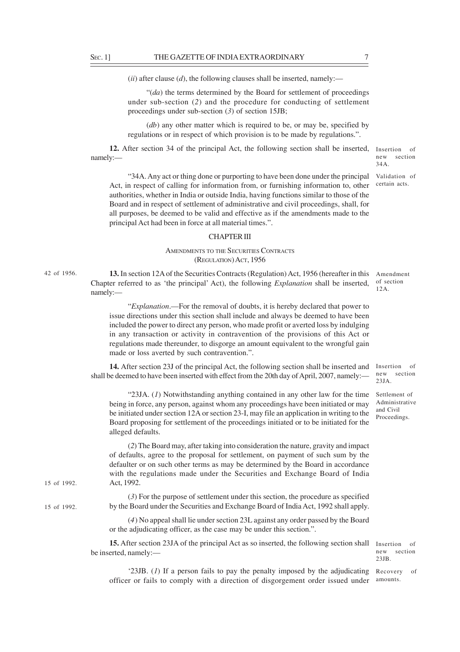42 of 1956.

15 of 1992.

15 of 1992.

 $(iii)$  after clause  $(d)$ , the following clauses shall be inserted, namely:—

"(*da*) the terms determined by the Board for settlement of proceedings under sub-section (*2*) and the procedure for conducting of settlement proceedings under sub-section (*3*) of section 15JB;

(*db*) any other matter which is required to be, or may be, specified by regulations or in respect of which provision is to be made by regulations.".

12. After section 34 of the principal Act, the following section shall be inserted, Insertion of namely:—

"34A. Any act or thing done or purporting to have been done under the principal Validation of Act, in respect of calling for information from, or furnishing information to, other authorities, whether in India or outside India, having functions similar to those of the Board and in respect of settlement of administrative and civil proceedings, shall, for all purposes, be deemed to be valid and effective as if the amendments made to the principal Act had been in force at all material times.".

#### CHAPTER III

### AMENDMENTS TO THE SECURITIES CONTRACTS (REGULATION) ACT, 1956

**13.** In section 12A of the Securities Contracts (Regulation) Act, 1956 (hereafter in this Chapter referred to as 'the principal' Act), the following *Explanation* shall be inserted, namely:— Amendment of section 12A.

"*Explanation*.—For the removal of doubts, it is hereby declared that power to issue directions under this section shall include and always be deemed to have been included the power to direct any person, who made profit or averted loss by indulging in any transaction or activity in contravention of the provisions of this Act or regulations made thereunder, to disgorge an amount equivalent to the wrongful gain made or loss averted by such contravention.".

**14.** After section 23J of the principal Act, the following section shall be inserted and shall be deemed to have been inserted with effect from the 20th day of April, 2007, namely:— Insertion of new section 23JA.

"23JA. (*1*) Notwithstanding anything contained in any other law for the time being in force, any person, against whom any proceedings have been initiated or may be initiated under section 12A or section 23-I, may file an application in writing to the Board proposing for settlement of the proceedings initiated or to be initiated for the alleged defaults.

(*2*) The Board may, after taking into consideration the nature, gravity and impact of defaults, agree to the proposal for settlement, on payment of such sum by the defaulter or on such other terms as may be determined by the Board in accordance with the regulations made under the Securities and Exchange Board of India Act, 1992.

(*3*) For the purpose of settlement under this section, the procedure as specified by the Board under the Securities and Exchange Board of India Act, 1992 shall apply.

(*4*) No appeal shall lie under section 23L against any order passed by the Board or the adjudicating officer, as the case may be under this section.".

**15.** After section 23JA of the principal Act as so inserted, the following section shall be inserted, namely:—

Insertion of new section 23JB.

Settlement of Administrative and Civil Proceedings.

'23JB. (*1*) If a person fails to pay the penalty imposed by the adjudicating Recovery of officer or fails to comply with a direction of disgorgement order issued under amounts.

new section 34A.

certain acts.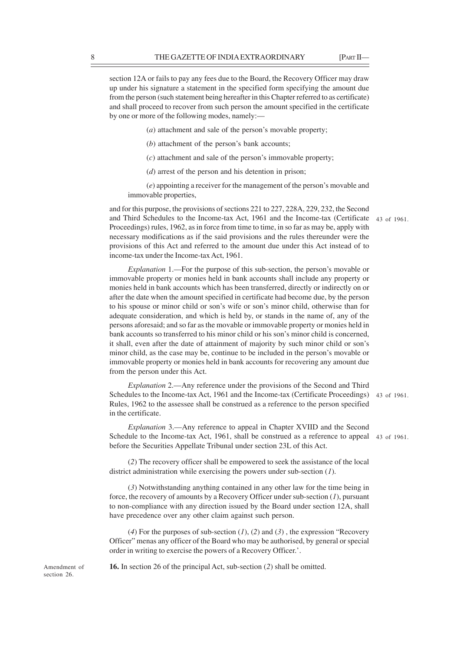section 12A or fails to pay any fees due to the Board, the Recovery Officer may draw up under his signature a statement in the specified form specifying the amount due from the person (such statement being hereafter in this Chapter referred to as certificate) and shall proceed to recover from such person the amount specified in the certificate by one or more of the following modes, namely:—

- (*a*) attachment and sale of the person's movable property;
- (*b*) attachment of the person's bank accounts;
- (*c*) attachment and sale of the person's immovable property;
- (*d*) arrest of the person and his detention in prison;

(*e*) appointing a receiver for the management of the person's movable and immovable properties,

and for this purpose, the provisions of sections 221 to 227, 228A, 229, 232, the Second and Third Schedules to the Income-tax Act, 1961 and the Income-tax (Certificate 43 of 1961. Proceedings) rules, 1962, as in force from time to time, in so far as may be, apply with necessary modifications as if the said provisions and the rules thereunder were the provisions of this Act and referred to the amount due under this Act instead of to income-tax under the Income-tax Act, 1961.

*Explanation* 1.—For the purpose of this sub-section, the person's movable or immovable property or monies held in bank accounts shall include any property or monies held in bank accounts which has been transferred, directly or indirectly on or after the date when the amount specified in certificate had become due, by the person to his spouse or minor child or son's wife or son's minor child, otherwise than for adequate consideration, and which is held by, or stands in the name of, any of the persons aforesaid; and so far as the movable or immovable property or monies held in bank accounts so transferred to his minor child or his son's minor child is concerned, it shall, even after the date of attainment of majority by such minor child or son's minor child, as the case may be, continue to be included in the person's movable or immovable property or monies held in bank accounts for recovering any amount due from the person under this Act.

*Explanation* 2.—Any reference under the provisions of the Second and Third Schedules to the Income-tax Act, 1961 and the Income-tax (Certificate Proceedings) 43 of 1961. Rules, 1962 to the assessee shall be construed as a reference to the person specified in the certificate.

*Explanation* 3.—Any reference to appeal in Chapter XVIID and the Second Schedule to the Income-tax Act, 1961, shall be construed as a reference to appeal 43 of 1961. before the Securities Appellate Tribunal under section 23L of this Act.

(*2*) The recovery officer shall be empowered to seek the assistance of the local district administration while exercising the powers under sub-section (*1*).

(*3*) Notwithstanding anything contained in any other law for the time being in force, the recovery of amounts by a Recovery Officer under sub-section (*1*), pursuant to non-compliance with any direction issued by the Board under section 12A, shall have precedence over any other claim against such person.

(*4*) For the purposes of sub-section (*1*), (*2*) and (*3*) , the expression "Recovery Officer" menas any officer of the Board who may be authorised, by general or special order in writing to exercise the powers of a Recovery Officer.'.

**16.** In section 26 of the principal Act, sub-section (*2*) shall be omitted.

Amendment of section 26.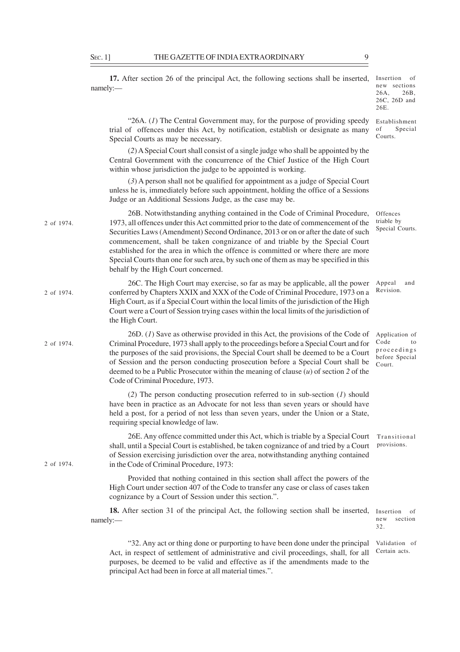namely:—

**17.** After section 26 of the principal Act, the following sections shall be inserted,

Insertion of new sections 26A, 26B, 26C, 26D and 26E.

Certain acts.

"26A. (*1*) The Central Government may, for the purpose of providing speedy trial of offences under this Act, by notification, establish or designate as many Special Courts as may be necessary. (*2*) A Special Court shall consist of a single judge who shall be appointed by the Central Government with the concurrence of the Chief Justice of the High Court within whose jurisdiction the judge to be appointed is working. (*3*) A person shall not be qualified for appointment as a judge of Special Court unless he is, immediately before such appointment, holding the office of a Sessions Judge or an Additional Sessions Judge, as the case may be. 26B. Notwithstanding anything contained in the Code of Criminal Procedure, 1973, all offences under this Act committed prior to the date of commencement of the Securities Laws (Amendment) Second Ordinance, 2013 or on or after the date of such commencement, shall be taken congnizance of and triable by the Special Court established for the area in which the offence is committed or where there are more Special Courts than one for such area, by such one of them as may be specified in this behalf by the High Court concerned. 26C. The High Court may exercise, so far as may be applicable, all the power conferred by Chapters XXIX and XXX of the Code of Criminal Procedure, 1973 on a High Court, as if a Special Court within the local limits of the jurisdiction of the High Court were a Court of Session trying cases within the local limits of the jurisdiction of the High Court. 26D. (*1*) Save as otherwise provided in this Act, the provisions of the Code of Criminal Procedure, 1973 shall apply to the proceedings before a Special Court and for the purposes of the said provisions, the Special Court shall be deemed to be a Court of Session and the person conducting prosecution before a Special Court shall be deemed to be a Public Prosecutor within the meaning of clause (*u*) of section *2* of the Code of Criminal Procedure, 1973. (*2*) The person conducting prosecution referred to in sub-section (*1*) should have been in practice as an Advocate for not less than seven years or should have held a post, for a period of not less than seven years, under the Union or a State, requiring special knowledge of law. 26E. Any offence committed under this Act, which is triable by a Special Court shall, until a Special Court is established, be taken cognizance of and tried by a Court of Session exercising jurisdiction over the area, notwithstanding anything contained in the Code of Criminal Procedure, 1973: Provided that nothing contained in this section shall affect the powers of the High Court under section 407 of the Code to transfer any case or class of cases taken cognizance by a Court of Session under this section.". **18.** After section 31 of the principal Act, the following section shall be inserted, namely:— "32. Any act or thing done or purporting to have been done under the principal Establishment of Special Courts. **Offences** triable by Special Courts. Appeal and Revision. Application of Code to proceedings before Special Court. Transitional provisions. Insertion of new section 32. 2 of 1974. 2 of 1974. 2 of 1974. 2 of 1974. Validation of

Act, in respect of settlement of administrative and civil proceedings, shall, for all purposes, be deemed to be valid and effective as if the amendments made to the principal Act had been in force at all material times.".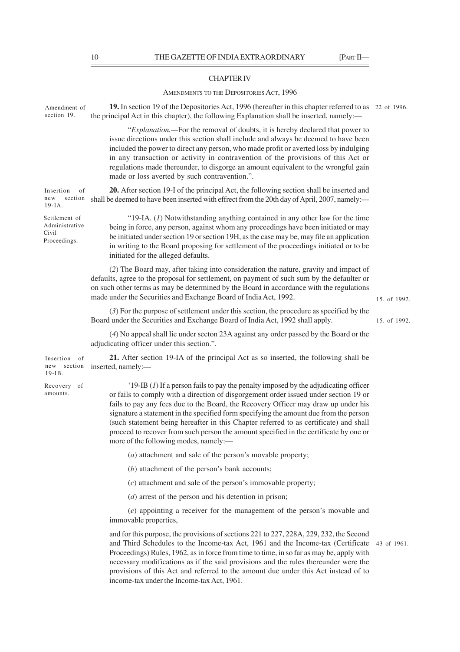### CHAPTER IV

## AMENDMENTS TO THE DEPOSITORIES ACT, 1996

| Amendment of<br>section 19.                              | 19. In section 19 of the Depositories Act, 1996 (hereafter in this chapter referred to as 22 of 1996.<br>the principal Act in this chapter), the following Explanation shall be inserted, namely:—                                                                                                                                                                                                                                                                                                                                                                                      |              |
|----------------------------------------------------------|-----------------------------------------------------------------------------------------------------------------------------------------------------------------------------------------------------------------------------------------------------------------------------------------------------------------------------------------------------------------------------------------------------------------------------------------------------------------------------------------------------------------------------------------------------------------------------------------|--------------|
|                                                          | "Explanation.—For the removal of doubts, it is hereby declared that power to<br>issue directions under this section shall include and always be deemed to have been<br>included the power to direct any person, who made profit or averted loss by indulging<br>in any transaction or activity in contravention of the provisions of this Act or<br>regulations made thereunder, to disgorge an amount equivalent to the wrongful gain<br>made or loss averted by such contravention.".                                                                                                 |              |
| Insertion<br>of<br>section<br>new<br>$19$ -IA.           | 20. After section 19-I of the principal Act, the following section shall be inserted and<br>shall be deemed to have been inserted with effrect from the 20th day of April, 2007, namely:—                                                                                                                                                                                                                                                                                                                                                                                               |              |
| Settlement of<br>Administrative<br>Civil<br>Proceedings. | "19-IA. $(I)$ Notwithstanding anything contained in any other law for the time<br>being in force, any person, against whom any proceedings have been initiated or may<br>be initiated under section 19 or section 19H, as the case may be, may file an application<br>in writing to the Board proposing for settlement of the proceedings initiated or to be<br>initiated for the alleged defaults.                                                                                                                                                                                     |              |
|                                                          | (2) The Board may, after taking into consideration the nature, gravity and impact of<br>defaults, agree to the proposal for settlement, on payment of such sum by the defaulter or<br>on such other terms as may be determined by the Board in accordance with the regulations<br>made under the Securities and Exchange Board of India Act, 1992.                                                                                                                                                                                                                                      | 15. of 1992. |
|                                                          | $(3)$ For the purpose of settlement under this section, the procedure as specified by the<br>Board under the Securities and Exchange Board of India Act, 1992 shall apply.                                                                                                                                                                                                                                                                                                                                                                                                              | 15. of 1992. |
|                                                          | (4) No appeal shall lie under secton 23A against any order passed by the Board or the<br>adjudicating officer under this section.".                                                                                                                                                                                                                                                                                                                                                                                                                                                     |              |
| Insertion of<br>new section<br>$19$ -IB.                 | 21. After section 19-IA of the principal Act as so inserted, the following shall be<br>inserted, namely:-                                                                                                                                                                                                                                                                                                                                                                                                                                                                               |              |
| Recovery of<br>amounts.                                  | '19-IB $(I)$ If a person fails to pay the penalty imposed by the adjudicating officer<br>or fails to comply with a direction of disgorgement order issued under section 19 or<br>fails to pay any fees due to the Board, the Recovery Officer may draw up under his<br>signature a statement in the specified form specifying the amount due from the person<br>(such statement being hereafter in this Chapter referred to as certificate) and shall<br>proceed to recover from such person the amount specified in the certificate by one or<br>more of the following modes, namely:— |              |
|                                                          | ( <i>a</i> ) attachment and sale of the person's movable property;                                                                                                                                                                                                                                                                                                                                                                                                                                                                                                                      |              |
|                                                          | (b) attachment of the person's bank accounts;                                                                                                                                                                                                                                                                                                                                                                                                                                                                                                                                           |              |
|                                                          | $(c)$ attachment and sale of the person's immovable property;                                                                                                                                                                                                                                                                                                                                                                                                                                                                                                                           |              |
|                                                          | $(d)$ arrest of the person and his detention in prison;                                                                                                                                                                                                                                                                                                                                                                                                                                                                                                                                 |              |
|                                                          | (e) appointing a receiver for the management of the person's movable and<br>immovable properties,                                                                                                                                                                                                                                                                                                                                                                                                                                                                                       |              |
|                                                          | and for this purpose, the provisions of sections 221 to 227, 228A, 229, 232, the Second<br>and Third Schedules to the Income-tax Act, 1961 and the Income-tax (Certificate<br>Proceedings) Rules, 1962, as in force from time to time, in so far as may be, apply with<br>necessary modifications as if the said provisions and the rules thereunder were the<br>provisions of this Act and referred to the amount due under this Act instead of to                                                                                                                                     | 43 of 1961.  |

income-tax under the Income-tax Act, 1961.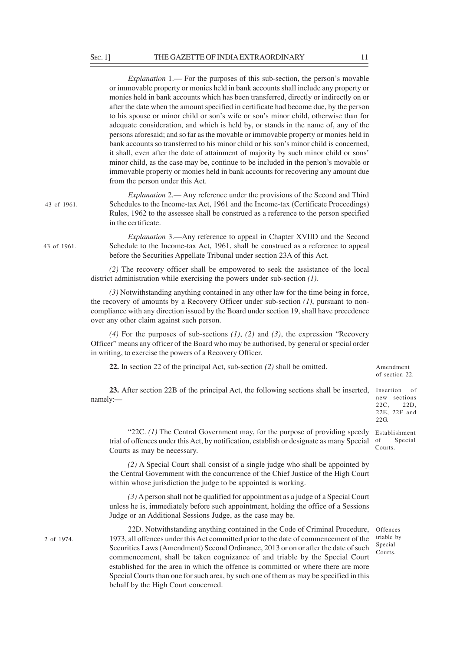|             | <i>Explanation</i> 1.— For the purposes of this sub-section, the person's movable<br>or immovable property or monies held in bank accounts shall include any property or<br>monies held in bank accounts which has been transferred, directly or indirectly on or<br>after the date when the amount specified in certificate had become due, by the person<br>to his spouse or minor child or son's wife or son's minor child, otherwise than for<br>adequate consideration, and which is held by, or stands in the name of, any of the<br>persons aforesaid; and so far as the movable or immovable property or monies held in<br>bank accounts so transferred to his minor child or his son's minor child is concerned,<br>it shall, even after the date of attainment of majority by such minor child or sons'<br>minor child, as the case may be, continue to be included in the person's movable or<br>immovable property or monies held in bank accounts for recovering any amount due<br>from the person under this Act. |
|-------------|---------------------------------------------------------------------------------------------------------------------------------------------------------------------------------------------------------------------------------------------------------------------------------------------------------------------------------------------------------------------------------------------------------------------------------------------------------------------------------------------------------------------------------------------------------------------------------------------------------------------------------------------------------------------------------------------------------------------------------------------------------------------------------------------------------------------------------------------------------------------------------------------------------------------------------------------------------------------------------------------------------------------------------|
| 43 of 1961. | <i>Explanation</i> 2.— Any reference under the provisions of the Second and Third<br>Schedules to the Income-tax Act, 1961 and the Income-tax (Certificate Proceedings)<br>Rules, 1962 to the assessee shall be construed as a reference to the person specified<br>in the certificate.                                                                                                                                                                                                                                                                                                                                                                                                                                                                                                                                                                                                                                                                                                                                         |
| 43 of 1961. | <i>Explanation</i> 3.—Any reference to appeal in Chapter XVIID and the Second<br>Schedule to the Income-tax Act, 1961, shall be construed as a reference to appeal<br>before the Securities Appellate Tribunal under section 23A of this Act.                                                                                                                                                                                                                                                                                                                                                                                                                                                                                                                                                                                                                                                                                                                                                                                   |
|             | (2) The recovery officer shall be empowered to seek the assistance of the local<br>district administration while exercising the powers under sub-section $(1)$ .                                                                                                                                                                                                                                                                                                                                                                                                                                                                                                                                                                                                                                                                                                                                                                                                                                                                |
|             | (3) Notwithstanding anything contained in any other law for the time being in force,<br>the recovery of amounts by a Recovery Officer under sub-section $(1)$ , pursuant to non-<br>compliance with any direction issued by the Board under section 19, shall have precedence<br>over any other claim against such person.                                                                                                                                                                                                                                                                                                                                                                                                                                                                                                                                                                                                                                                                                                      |
|             | (4) For the purposes of sub-sections $(1)$ , $(2)$ and $(3)$ , the expression "Recovery<br>Officer" means any officer of the Board who may be authorised, by general or special order<br>in writing, to exercise the powers of a Recovery Officer.                                                                                                                                                                                                                                                                                                                                                                                                                                                                                                                                                                                                                                                                                                                                                                              |
|             | 22. In section 22 of the principal Act, sub-section $(2)$ shall be omitted.                                                                                                                                                                                                                                                                                                                                                                                                                                                                                                                                                                                                                                                                                                                                                                                                                                                                                                                                                     |
|             | 23. After section 22B of the principal Act, the following sections shall be inserted,<br>namely:-                                                                                                                                                                                                                                                                                                                                                                                                                                                                                                                                                                                                                                                                                                                                                                                                                                                                                                                               |
|             | "22C. $(1)$ The Central Government may, for the purpose of providing speedy<br>trial of offences under this Act, by notification, establish or designate as many Special<br>Courts as may be necessary.                                                                                                                                                                                                                                                                                                                                                                                                                                                                                                                                                                                                                                                                                                                                                                                                                         |

*(2)* A Special Court shall consist of a single judge who shall be appointed by the Central Government with the concurrence of the Chief Justice of the High Court within whose jurisdiction the judge to be appointed is working.

*(3)* A person shall not be qualified for appointment as a judge of a Special Court unless he is, immediately before such appointment, holding the office of a Sessions Judge or an Additional Sessions Judge, as the case may be.

2 of 1974.

22D. Notwithstanding anything contained in the Code of Criminal Procedure, Offences 1973, all offences under this Act committed prior to the date of commencement of the Securities Laws (Amendment) Second Ordinance, 2013 or on or after the date of such commencement, shall be taken cognizance of and triable by the Special Court established for the area in which the offence is committed or where there are more Special Courts than one for such area, by such one of them as may be specified in this behalf by the High Court concerned.

triable by Special Courts.

Amendment of section 22.

Insertion of new sections<br>22C. 22D. 22C, 22E, 22F and

Establishment of Special Courts.

22G.